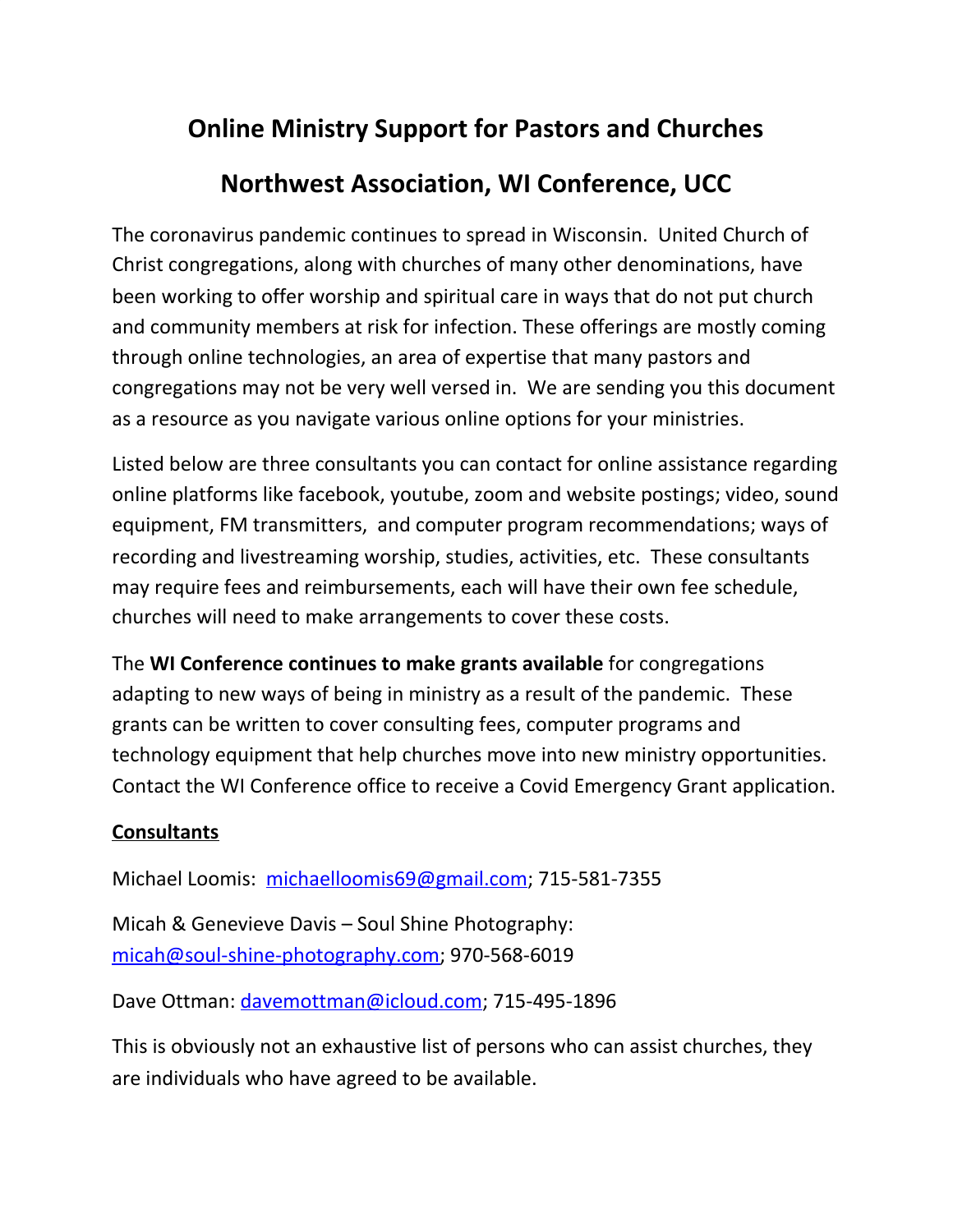## **Online Ministry Support for Pastors and Churches**

## **Northwest Association, WI Conference, UCC**

The coronavirus pandemic continues to spread in Wisconsin. United Church of Christ congregations, along with churches of many other denominations, have been working to offer worship and spiritual care in ways that do not put church and community members at risk for infection. These offerings are mostly coming through online technologies, an area of expertise that many pastors and congregations may not be very well versed in. We are sending you this document as a resource as you navigate various online options for your ministries.

Listed below are three consultants you can contact for online assistance regarding online platforms like facebook, youtube, zoom and website postings; video, sound equipment, FM transmitters, and computer program recommendations; ways of recording and livestreaming worship, studies, activities, etc. These consultants may require fees and reimbursements, each will have their own fee schedule, churches will need to make arrangements to cover these costs.

The **WI Conference continues to make grants available** for congregations adapting to new ways of being in ministry as a result of the pandemic. These grants can be written to cover consulting fees, computer programs and technology equipment that help churches move into new ministry opportunities. Contact the WI Conference office to receive a Covid Emergency Grant application.

## **Consultants**

Michael Loomis: [michaelloomis69@gmail.com;](mailto:michaelloomis69@gmail.com) 715-581-7355

Micah & Genevieve Davis – Soul Shine Photography: [micah@soul-shine-photography.com;](mailto:micah@soul-shine-photography.com) 970-568-6019

Dave Ottman: [davemottman@icloud.com;](mailto:davemottman@icloud.com) 715-495-1896

This is obviously not an exhaustive list of persons who can assist churches, they are individuals who have agreed to be available.